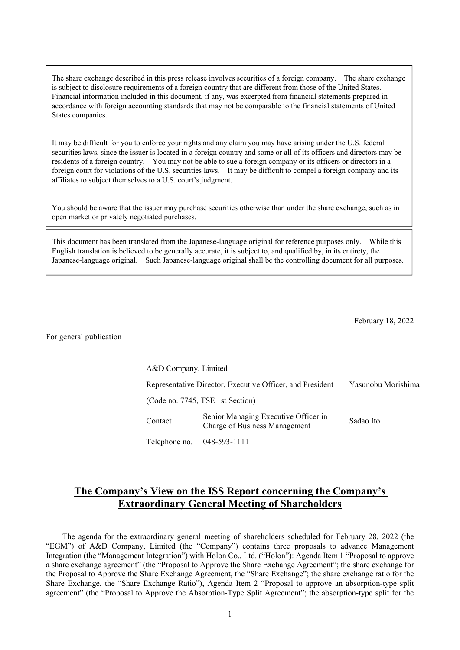The share exchange described in this press release involves securities of a foreign company. The share exchange is subject to disclosure requirements of a foreign country that are different from those of the United States. Financial information included in this document, if any, was excerpted from financial statements prepared in accordance with foreign accounting standards that may not be comparable to the financial statements of United States companies.

It may be difficult for you to enforce your rights and any claim you may have arising under the U.S. federal securities laws, since the issuer is located in a foreign country and some or all of its officers and directors may be residents of a foreign country. You may not be able to sue a foreign company or its officers or directors in a foreign court for violations of the U.S. securities laws. It may be difficult to compel a foreign company and its affiliates to subject themselves to a U.S. court's judgment.

You should be aware that the issuer may purchase securities otherwise than under the share exchange, such as in open market or privately negotiated purchases.

This document has been translated from the Japanese-language original for reference purposes only. While this English translation is believed to be generally accurate, it is subject to, and qualified by, in its entirety, the Japanese-language original. Such Japanese-language original shall be the controlling document for all purposes.

February 18, 2022

For general publication

A&D Company, Limited Representative Director, Executive Officer, and President Yasunobu Morishima (Code no. 7745, TSE 1st Section) Contact Senior Managing Executive Officer in Senior Managing Executive Officer in<br>Charge of Business Management Sadao Ito Telephone no. 048-593-1111

# **The Company's View on the ISS Report concerning the Company's Extraordinary General Meeting of Shareholders**

The agenda for the extraordinary general meeting of shareholders scheduled for February 28, 2022 (the "EGM") of A&D Company, Limited (the "Company") contains three proposals to advance Management Integration (the "Management Integration") with Holon Co., Ltd. ("Holon"): Agenda Item 1 "Proposal to approve a share exchange agreement" (the "Proposal to Approve the Share Exchange Agreement"; the share exchange for the Proposal to Approve the Share Exchange Agreement, the "Share Exchange"; the share exchange ratio for the Share Exchange, the "Share Exchange Ratio"), Agenda Item 2 "Proposal to approve an absorption-type split agreement" (the "Proposal to Approve the Absorption-Type Split Agreement"; the absorption-type split for the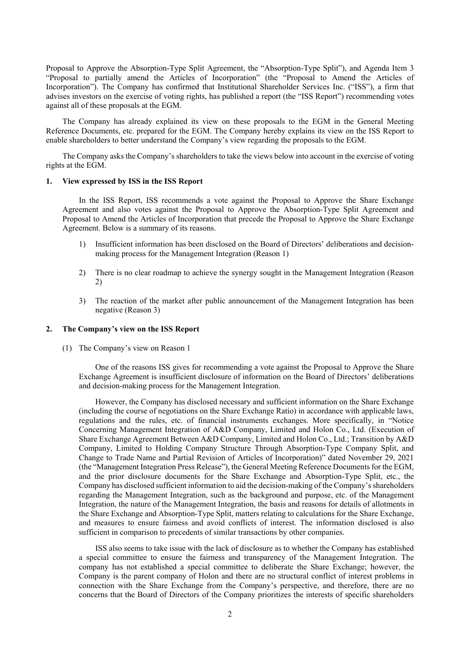Proposal to Approve the Absorption-Type Split Agreement, the "Absorption-Type Split"), and Agenda Item 3 "Proposal to partially amend the Articles of Incorporation" (the "Proposal to Amend the Articles of Incorporation"). The Company has confirmed that Institutional Shareholder Services Inc. ("ISS"), a firm that advises investors on the exercise of voting rights, has published a report (the "ISS Report") recommending votes against all of these proposals at the EGM.

The Company has already explained its view on these proposals to the EGM in the General Meeting Reference Documents, etc. prepared for the EGM. The Company hereby explains its view on the ISS Report to enable shareholders to better understand the Company's view regarding the proposals to the EGM.

The Company asks the Company's shareholders to take the views below into account in the exercise of voting rights at the EGM.

#### **1. View expressed by ISS in the ISS Report**

In the ISS Report, ISS recommends a vote against the Proposal to Approve the Share Exchange Agreement and also votes against the Proposal to Approve the Absorption-Type Split Agreement and Proposal to Amend the Articles of Incorporation that precede the Proposal to Approve the Share Exchange Agreement. Below is a summary of its reasons.

- 1) Insufficient information has been disclosed on the Board of Directors' deliberations and decisionmaking process for the Management Integration (Reason 1)
- 2) There is no clear roadmap to achieve the synergy sought in the Management Integration (Reason 2)
- 3) The reaction of the market after public announcement of the Management Integration has been negative (Reason 3)

#### **2. The Company's view on the ISS Report**

(1) The Company's view on Reason 1

One of the reasons ISS gives for recommending a vote against the Proposal to Approve the Share Exchange Agreement is insufficient disclosure of information on the Board of Directors' deliberations and decision-making process for the Management Integration.

However, the Company has disclosed necessary and sufficient information on the Share Exchange (including the course of negotiations on the Share Exchange Ratio) in accordance with applicable laws, regulations and the rules, etc. of financial instruments exchanges. More specifically, in "Notice Concerning Management Integration of A&D Company, Limited and Holon Co., Ltd. (Execution of Share Exchange Agreement Between A&D Company, Limited and Holon Co., Ltd.; Transition by A&D Company, Limited to Holding Company Structure Through Absorption-Type Company Split, and Change to Trade Name and Partial Revision of Articles of Incorporation)" dated November 29, 2021 (the "Management Integration Press Release"), the General Meeting Reference Documents for the EGM, and the prior disclosure documents for the Share Exchange and Absorption-Type Split, etc., the Company has disclosed sufficient information to aid the decision-making of the Company's shareholders regarding the Management Integration, such as the background and purpose, etc. of the Management Integration, the nature of the Management Integration, the basis and reasons for details of allotments in the Share Exchange and Absorption-Type Split, matters relating to calculations for the Share Exchange, and measures to ensure fairness and avoid conflicts of interest. The information disclosed is also sufficient in comparison to precedents of similar transactions by other companies.

ISS also seems to take issue with the lack of disclosure as to whether the Company has established a special committee to ensure the fairness and transparency of the Management Integration. The company has not established a special committee to deliberate the Share Exchange; however, the Company is the parent company of Holon and there are no structural conflict of interest problems in connection with the Share Exchange from the Company's perspective, and therefore, there are no concerns that the Board of Directors of the Company prioritizes the interests of specific shareholders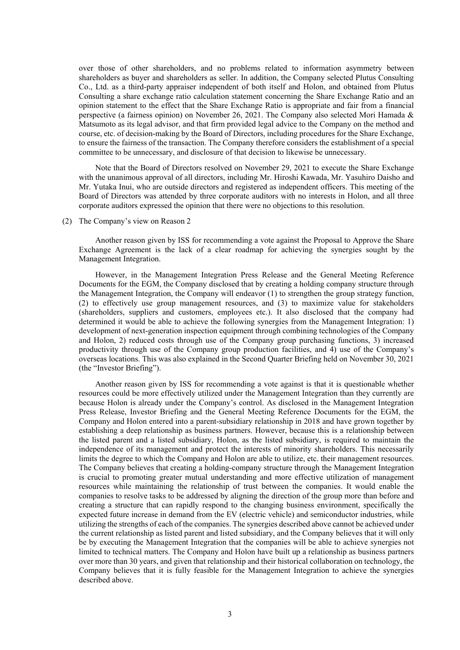over those of other shareholders, and no problems related to information asymmetry between shareholders as buyer and shareholders as seller. In addition, the Company selected Plutus Consulting Co., Ltd. as a third-party appraiser independent of both itself and Holon, and obtained from Plutus Consulting a share exchange ratio calculation statement concerning the Share Exchange Ratio and an opinion statement to the effect that the Share Exchange Ratio is appropriate and fair from a financial perspective (a fairness opinion) on November 26, 2021. The Company also selected Mori Hamada & Matsumoto as its legal advisor, and that firm provided legal advice to the Company on the method and course, etc. of decision-making by the Board of Directors, including procedures for the Share Exchange, to ensure the fairness of the transaction. The Company therefore considers the establishment of a special committee to be unnecessary, and disclosure of that decision to likewise be unnecessary.

Note that the Board of Directors resolved on November 29, 2021 to execute the Share Exchange with the unanimous approval of all directors, including Mr. Hiroshi Kawada, Mr. Yasuhiro Daisho and Mr. Yutaka Inui, who are outside directors and registered as independent officers. This meeting of the Board of Directors was attended by three corporate auditors with no interests in Holon, and all three corporate auditors expressed the opinion that there were no objections to this resolution.

### (2) The Company's view on Reason 2

Another reason given by ISS for recommending a vote against the Proposal to Approve the Share Exchange Agreement is the lack of a clear roadmap for achieving the synergies sought by the Management Integration.

However, in the Management Integration Press Release and the General Meeting Reference Documents for the EGM, the Company disclosed that by creating a holding company structure through the Management Integration, the Company will endeavor (1) to strengthen the group strategy function, (2) to effectively use group management resources, and (3) to maximize value for stakeholders (shareholders, suppliers and customers, employees etc.). It also disclosed that the company had determined it would be able to achieve the following synergies from the Management Integration: 1) development of next-generation inspection equipment through combining technologies of the Company and Holon, 2) reduced costs through use of the Company group purchasing functions, 3) increased productivity through use of the Company group production facilities, and 4) use of the Company's overseas locations. This was also explained in the Second Quarter Briefing held on November 30, 2021 (the "Investor Briefing").

Another reason given by ISS for recommending a vote against is that it is questionable whether resources could be more effectively utilized under the Management Integration than they currently are because Holon is already under the Company's control. As disclosed in the Management Integration Press Release, Investor Briefing and the General Meeting Reference Documents for the EGM, the Company and Holon entered into a parent-subsidiary relationship in 2018 and have grown together by establishing a deep relationship as business partners. However, because this is a relationship between the listed parent and a listed subsidiary, Holon, as the listed subsidiary, is required to maintain the independence of its management and protect the interests of minority shareholders. This necessarily limits the degree to which the Company and Holon are able to utilize, etc. their management resources. The Company believes that creating a holding-company structure through the Management Integration is crucial to promoting greater mutual understanding and more effective utilization of management resources while maintaining the relationship of trust between the companies. It would enable the companies to resolve tasks to be addressed by aligning the direction of the group more than before and creating a structure that can rapidly respond to the changing business environment, specifically the expected future increase in demand from the EV (electric vehicle) and semiconductor industries, while utilizing the strengths of each of the companies. The synergies described above cannot be achieved under the current relationship as listed parent and listed subsidiary, and the Company believes that it will only be by executing the Management Integration that the companies will be able to achieve synergies not limited to technical matters. The Company and Holon have built up a relationship as business partners over more than 30 years, and given that relationship and their historical collaboration on technology, the Company believes that it is fully feasible for the Management Integration to achieve the synergies described above.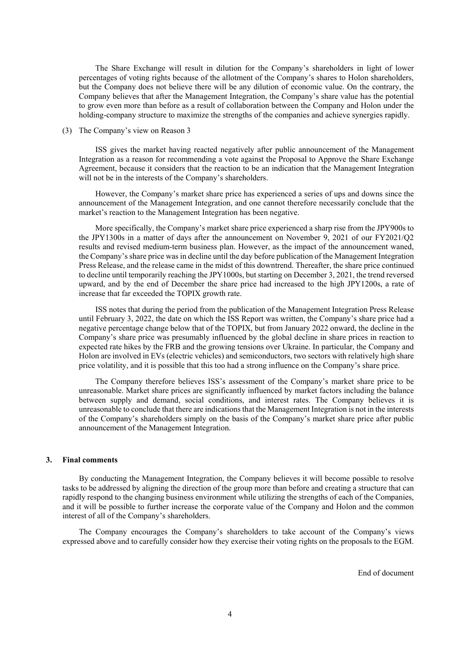The Share Exchange will result in dilution for the Company's shareholders in light of lower percentages of voting rights because of the allotment of the Company's shares to Holon shareholders, but the Company does not believe there will be any dilution of economic value. On the contrary, the Company believes that after the Management Integration, the Company's share value has the potential to grow even more than before as a result of collaboration between the Company and Holon under the holding-company structure to maximize the strengths of the companies and achieve synergies rapidly.

### (3) The Company's view on Reason 3

ISS gives the market having reacted negatively after public announcement of the Management Integration as a reason for recommending a vote against the Proposal to Approve the Share Exchange Agreement, because it considers that the reaction to be an indication that the Management Integration will not be in the interests of the Company's shareholders.

However, the Company's market share price has experienced a series of ups and downs since the announcement of the Management Integration, and one cannot therefore necessarily conclude that the market's reaction to the Management Integration has been negative.

More specifically, the Company's market share price experienced a sharp rise from the JPY900s to the JPY1300s in a matter of days after the announcement on November 9, 2021 of our FY2021/Q2 results and revised medium-term business plan. However, as the impact of the announcement waned, the Company's share price was in decline until the day before publication of the Management Integration Press Release, and the release came in the midst of this downtrend. Thereafter, the share price continued to decline until temporarily reaching the JPY1000s, but starting on December 3, 2021, the trend reversed upward, and by the end of December the share price had increased to the high JPY1200s, a rate of increase that far exceeded the TOPIX growth rate.

ISS notes that during the period from the publication of the Management Integration Press Release until February 3, 2022, the date on which the ISS Report was written, the Company's share price had a negative percentage change below that of the TOPIX, but from January 2022 onward, the decline in the Company's share price was presumably influenced by the global decline in share prices in reaction to expected rate hikes by the FRB and the growing tensions over Ukraine. In particular, the Company and Holon are involved in EVs (electric vehicles) and semiconductors, two sectors with relatively high share price volatility, and it is possible that this too had a strong influence on the Company's share price.

The Company therefore believes ISS's assessment of the Company's market share price to be unreasonable. Market share prices are significantly influenced by market factors including the balance between supply and demand, social conditions, and interest rates. The Company believes it is unreasonable to conclude that there are indications that the Management Integration is not in the interests of the Company's shareholders simply on the basis of the Company's market share price after public announcement of the Management Integration.

## **3. Final comments**

By conducting the Management Integration, the Company believes it will become possible to resolve tasks to be addressed by aligning the direction of the group more than before and creating a structure that can rapidly respond to the changing business environment while utilizing the strengths of each of the Companies, and it will be possible to further increase the corporate value of the Company and Holon and the common interest of all of the Company's shareholders.

The Company encourages the Company's shareholders to take account of the Company's views expressed above and to carefully consider how they exercise their voting rights on the proposals to the EGM.

End of document